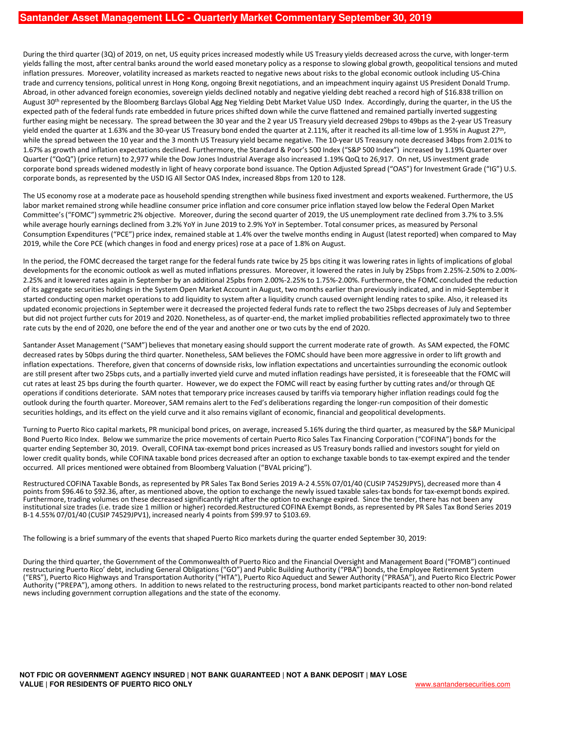During the third quarter (3Q) of 2019, on net, US equity prices increased modestly while US Treasury yields decreased across the curve, with longer-term yields falling the most, after central banks around the world eased monetary policy as a response to slowing global growth, geopolitical tensions and muted inflation pressures. Moreover, volatility increased as markets reacted to negative news about risks to the global economic outlook including US-China trade and currency tensions, political unrest in Hong Kong, ongoing Brexit negotiations, and an impeachment inquiry against US President Donald Trump. Abroad, in other advanced foreign economies, sovereign yields declined notably and negative yielding debt reached a record high of \$16.838 trillion on August 30<sup>th</sup> represented by the Bloomberg Barclays Global Agg Neg Yielding Debt Market Value USD Index. Accordingly, during the quarter, in the US the expected path of the federal funds rate embedded in future prices shifted down while the curve flattened and remained partially inverted suggesting further easing might be necessary. The spread between the 30 year and the 2 year US Treasury yield decreased 29bps to 49bps as the 2-year US Treasury yield ended the quarter at 1.63% and the 30-year US Treasury bond ended the quarter at 2.11%, after it reached its all-time low of 1.95% in August 27<sup>th</sup>, while the spread between the 10 year and the 3 month US Treasury yield became negative. The 10-year US Treasury note decreased 34bps from 2.01% to 1.67% as growth and inflation expectations declined. Furthermore, the Standard & Poor's 500 Index ("S&P 500 Index") increased by 1.19% Quarter over Quarter ("QoQ") (price return) to 2,977 while the Dow Jones Industrial Average also increased 1.19% QoQ to 26,917. On net, US investment grade corporate bond spreads widened modestly in light of heavy corporate bond issuance. The Option Adjusted Spread ("OAS") for Investment Grade ("IG") U.S. corporate bonds, as represented by the USD IG All Sector OAS Index, increased 8bps from 120 to 128.

The US economy rose at a moderate pace as household spending strengthen while business fixed investment and exports weakened. Furthermore, the US labor market remained strong while headline consumer price inflation and core consumer price inflation stayed low below the Federal Open Market Committee's ("FOMC") symmetric 2% objective. Moreover, during the second quarter of 2019, the US unemployment rate declined from 3.7% to 3.5% while average hourly earnings declined from 3.2% YoY in June 2019 to 2.9% YoY in September. Total consumer prices, as measured by Personal Consumption Expenditures ("PCE") price index, remained stable at 1.4% over the twelve months ending in August (latest reported) when compared to May 2019, while the Core PCE (which changes in food and energy prices) rose at a pace of 1.8% on August.

In the period, the FOMC decreased the target range for the federal funds rate twice by 25 bps citing it was lowering rates in lights of implications of global developments for the economic outlook as well as muted inflations pressures. Moreover, it lowered the rates in July by 25bps from 2.25%-2.50% to 2.00%- 2.25% and it lowered rates again in September by an additional 25pbs from 2.00%-2.25% to 1.75%-2.00%. Furthermore, the FOMC concluded the reduction of its aggregate securities holdings in the System Open Market Account in August, two months earlier than previously indicated, and in mid-September it started conducting open market operations to add liquidity to system after a liquidity crunch caused overnight lending rates to spike. Also, it released its updated economic projections in September were it decreased the projected federal funds rate to reflect the two 25bps decreases of July and September but did not project further cuts for 2019 and 2020. Nonetheless, as of quarter-end, the market implied probabilities reflected approximately two to three rate cuts by the end of 2020, one before the end of the year and another one or two cuts by the end of 2020.

Santander Asset Management ("SAM") believes that monetary easing should support the current moderate rate of growth. As SAM expected, the FOMC decreased rates by 50bps during the third quarter. Nonetheless, SAM believes the FOMC should have been more aggressive in order to lift growth and inflation expectations. Therefore, given that concerns of downside risks, low inflation expectations and uncertainties surrounding the economic outlook are still present after two 25bps cuts, and a partially inverted yield curve and muted inflation readings have persisted, it is foreseeable that the FOMC will cut rates at least 25 bps during the fourth quarter. However, we do expect the FOMC will react by easing further by cutting rates and/or through QE operations if conditions deteriorate. SAM notes that temporary price increases caused by tariffs via temporary higher inflation readings could fog the outlook during the fourth quarter. Moreover, SAM remains alert to the Fed's deliberations regarding the longer-run composition of their domestic securities holdings, and its effect on the yield curve and it also remains vigilant of economic, financial and geopolitical developments.

Turning to Puerto Rico capital markets, PR municipal bond prices, on average, increased 5.16% during the third quarter, as measured by the S&P Municipal Bond Puerto Rico Index. Below we summarize the price movements of certain Puerto Rico Sales Tax Financing Corporation ("COFINA") bonds for the quarter ending September 30, 2019. Overall, COFINA tax-exempt bond prices increased as US Treasury bonds rallied and investors sought for yield on lower credit quality bonds, while COFINA taxable bond prices decreased after an option to exchange taxable bonds to tax-exempt expired and the tender occurred. All prices mentioned were obtained from Bloomberg Valuation ("BVAL pricing").

Restructured COFINA Taxable Bonds, as represented by PR Sales Tax Bond Series 2019 A-2 4.55% 07/01/40 (CUSIP 74529JPY5), decreased more than 4 points from \$96.46 to \$92.36, after, as mentioned above, the option to exchange the newly issued taxable sales-tax bonds for tax-exempt bonds expired. Furthermore, trading volumes on these decreased significantly right after the option to exchange expired. Since the tender, there has not been any institutional size trades (i.e. trade size 1 million or higher) recorded.Restructured COFINA Exempt Bonds, as represented by PR Sales Tax Bond Series 2019 B-1 4.55% 07/01/40 (CUSIP 74529JPV1), increased nearly 4 points from \$99.97 to \$103.69.

The following is a brief summary of the events that shaped Puerto Rico markets during the quarter ended September 30, 2019:

During the third quarter, the Government of the Commonwealth of Puerto Rico and the Financial Oversight and Management Board ("FOMB") continued restructuring Puerto Rico' debt, including General Obligations ("GO") and Public Building Authority ("PBA") bonds, the Employee Retirement System ("ERS"), Puerto Rico Highways and Transportation Authority ("HTA"), Puerto Rico Aqueduct and Sewer Authority ("PRASA"), and Puerto Rico Electric Power Authority ("PREPA"), among others. In addition to news related to the restructuring process, bond market participants reacted to other non-bond related news including government corruption allegations and the state of the economy.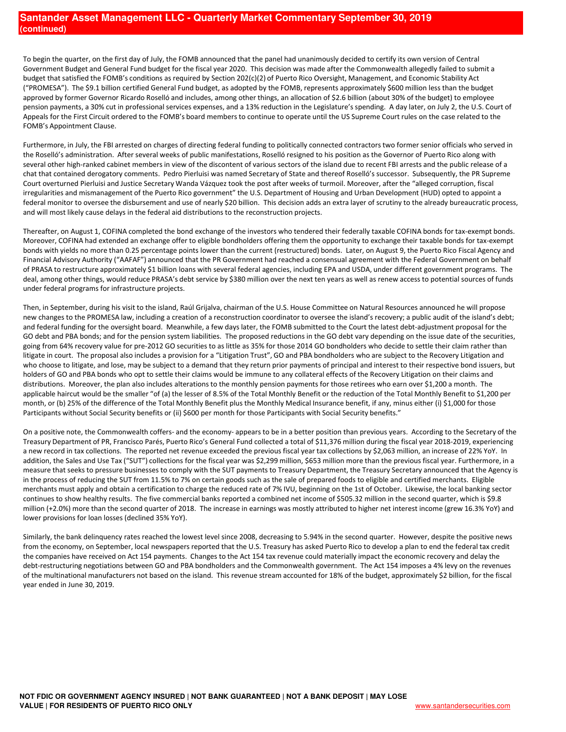To begin the quarter, on the first day of July, the FOMB announced that the panel had unanimously decided to certify its own version of Central Government Budget and General Fund budget for the fiscal year 2020. This decision was made after the Commonwealth allegedly failed to submit a budget that satisfied the FOMB's conditions as required by Section 202(c)(2) of Puerto Rico Oversight, Management, and Economic Stability Act ("PROMESA"). The \$9.1 billion certified General Fund budget, as adopted by the FOMB, represents approximately \$600 million less than the budget approved by former Governor Ricardo Roselló and includes, among other things, an allocation of \$2.6 billion (about 30% of the budget) to employee pension payments, a 30% cut in professional services expenses, and a 13% reduction in the Legislature's spending. A day later, on July 2, the U.S. Court of Appeals for the First Circuit ordered to the FOMB's board members to continue to operate until the US Supreme Court rules on the case related to the FOMB's Appointment Clause.

Furthermore, in July, the FBI arrested on charges of directing federal funding to politically connected contractors two former senior officials who served in the Roselló's administration. After several weeks of public manifestations, Roselló resigned to his position as the Governor of Puerto Rico along with several other high-ranked cabinet members in view of the discontent of various sectors of the island due to recent FBI arrests and the public release of a chat that contained derogatory comments. Pedro Pierluisi was named Secretary of State and thereof Roselló's successor. Subsequently, the PR Supreme Court overturned Pierluisi and Justice Secretary Wanda Vázquez took the post after weeks of turmoil. Moreover, after the "alleged corruption, fiscal irregularities and mismanagement of the Puerto Rico government" the U.S. Department of Housing and Urban Development (HUD) opted to appoint a federal monitor to oversee the disbursement and use of nearly \$20 billion. This decision adds an extra layer of scrutiny to the already bureaucratic process, and will most likely cause delays in the federal aid distributions to the reconstruction projects.

Thereafter, on August 1, COFINA completed the bond exchange of the investors who tendered their federally taxable COFINA bonds for tax-exempt bonds. Moreover, COFINA had extended an exchange offer to eligible bondholders offering them the opportunity to exchange their taxable bonds for tax-exempt bonds with yields no more than 0.25 percentage points lower than the current (restructured) bonds. Later, on August 9, the Puerto Rico Fiscal Agency and Financial Advisory Authority ("AAFAF") announced that the PR Government had reached a consensual agreement with the Federal Government on behalf of PRASA to restructure approximately \$1 billion loans with several federal agencies, including EPA and USDA, under different government programs. The deal, among other things, would reduce PRASA's debt service by \$380 million over the next ten years as well as renew access to potential sources of funds under federal programs for infrastructure projects.

Then, in September, during his visit to the island, Raúl Grijalva, chairman of the U.S. House Committee on Natural Resources announced he will propose new changes to the PROMESA law, including a creation of a reconstruction coordinator to oversee the island's recovery; a public audit of the island's debt; and federal funding for the oversight board. Meanwhile, a few days later, the FOMB submitted to the Court the latest debt-adjustment proposal for the GO debt and PBA bonds; and for the pension system liabilities. The proposed reductions in the GO debt vary depending on the issue date of the securities, going from 64% recovery value for pre-2012 GO securities to as little as 35% for those 2014 GO bondholders who decide to settle their claim rather than litigate in court. The proposal also includes a provision for a "Litigation Trust", GO and PBA bondholders who are subject to the Recovery Litigation and who choose to litigate, and lose, may be subject to a demand that they return prior payments of principal and interest to their respective bond issuers, but holders of GO and PBA bonds who opt to settle their claims would be immune to any collateral effects of the Recovery Litigation on their claims and distributions. Moreover, the plan also includes alterations to the monthly pension payments for those retirees who earn over \$1,200 a month. The applicable haircut would be the smaller "of (a) the lesser of 8.5% of the Total Monthly Benefit or the reduction of the Total Monthly Benefit to \$1,200 per month, or (b) 25% of the difference of the Total Monthly Benefit plus the Monthly Medical Insurance benefit, if any, minus either (i) \$1,000 for those Participants without Social Security benefits or (ii) \$600 per month for those Participants with Social Security benefits."

On a positive note, the Commonwealth coffers- and the economy- appears to be in a better position than previous years. According to the Secretary of the Treasury Department of PR, Francisco Parés, Puerto Rico's General Fund collected a total of \$11,376 million during the fiscal year 2018-2019, experiencing a new record in tax collections. The reported net revenue exceeded the previous fiscal year tax collections by \$2,063 million, an increase of 22% YoY. In addition, the Sales and Use Tax ("SUT") collections for the fiscal year was \$2,299 million, \$653 million more than the previous fiscal year. Furthermore, in a measure that seeks to pressure businesses to comply with the SUT payments to Treasury Department, the Treasury Secretary announced that the Agency is in the process of reducing the SUT from 11.5% to 7% on certain goods such as the sale of prepared foods to eligible and certified merchants. Eligible merchants must apply and obtain a certification to charge the reduced rate of 7% IVU, beginning on the 1st of October. Likewise, the local banking sector continues to show healthy results. The five commercial banks reported a combined net income of \$505.32 million in the second quarter, which is \$9.8 million (+2.0%) more than the second quarter of 2018. The increase in earnings was mostly attributed to higher net interest income (grew 16.3% YoY) and lower provisions for loan losses (declined 35% YoY).

Similarly, the bank delinquency rates reached the lowest level since 2008, decreasing to 5.94% in the second quarter. However, despite the positive news from the economy, on September, local newspapers reported that the U.S. Treasury has asked Puerto Rico to develop a plan to end the federal tax credit the companies have received on Act 154 payments. Changes to the Act 154 tax revenue could materially impact the economic recovery and delay the debt-restructuring negotiations between GO and PBA bondholders and the Commonwealth government. The Act 154 imposes a 4% levy on the revenues of the multinational manufacturers not based on the island. This revenue stream accounted for 18% of the budget, approximately \$2 billion, for the fiscal year ended in June 30, 2019.